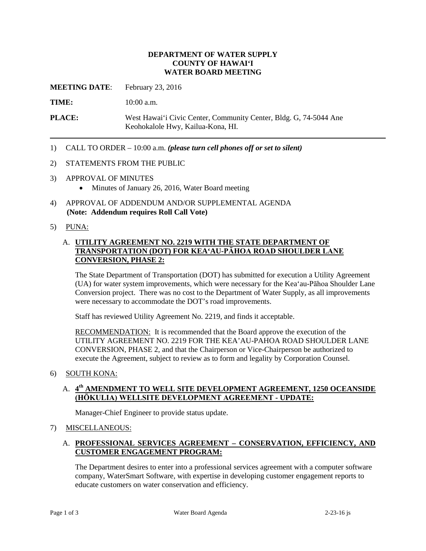#### **DEPARTMENT OF WATER SUPPLY COUNTY OF HAWAI'I WATER BOARD MEETING**

**MEETING DATE**: February 23, 2016

TIME: 10:00 a.m.

**PLACE:** West Hawai'i Civic Center, Community Center, Bldg. G, 74-5044 Ane Keohokalole Hwy, Kailua-Kona, HI.

1) CALL TO ORDER – 10:00 a.m. *(please turn cell phones off or set to silent)* 

#### 2) STATEMENTS FROM THE PUBLIC

- 3) APPROVAL OF MINUTES
	- Minutes of January 26, 2016, Water Board meeting
- 4) APPROVAL OF ADDENDUM AND/OR SUPPLEMENTAL AGENDA **(Note: Addendum requires Roll Call Vote)**
- 5) PUNA:

### A. **UTILITY AGREEMENT NO. 2219 WITH THE STATE DEPARTMENT OF TRANSPORTATION (DOT) FOR KEA'AU-PĀHOA ROAD SHOULDER LANE CONVERSION, PHASE 2:**

 Conversion project. There was no cost to the Department of Water Supply, as all improvements The State Department of Transportation (DOT) has submitted for execution a Utility Agreement (UA) for water system improvements, which were necessary for the Kea'au-Pāhoa Shoulder Lane were necessary to accommodate the DOT's road improvements.

Staff has reviewed Utility Agreement No. 2219, and finds it acceptable.

**RECOMMENDATION:** It is recommended that the Board approve the execution of the UTILITY AGREEMENT NO. 2219 FOR THE KEA'AU-PAHOA ROAD SHOULDER LANE CONVERSION, PHASE 2, and that the Chairperson or Vice-Chairperson be authorized to execute the Agreement, subject to review as to form and legality by Corporation Counsel.

6) SOUTH KONA:

### A. **4th AMENDMENT TO WELL SITE DEVELOPMENT AGREEMENT, 1250 OCEANSIDE (HŌKULIA) WELLSITE DEVELOPMENT AGREEMENT - UPDATE:**

Manager-Chief Engineer to provide status update.

#### 7) MISCELLANEOUS:

### A. **PROFESSIONAL SERVICES AGREEMENT – CONSERVATION, EFFICIENCY, AND CUSTOMER ENGAGEMENT PROGRAM:**

 The Department desires to enter into a professional services agreement with a computer software company, WaterSmart Software, with expertise in developing customer engagement reports to educate customers on water conservation and efficiency.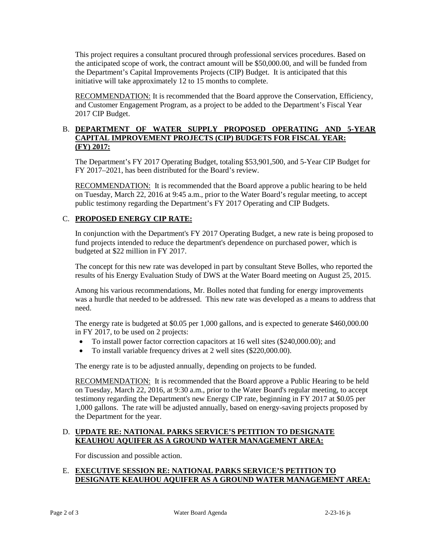the anticipated scope of work, the contract amount will be \$50,000.00, and will be funded from initiative will take approximately 12 to 15 months to complete. This project requires a consultant procured through professional services procedures. Based on the Department's Capital Improvements Projects (CIP) Budget. It is anticipated that this

 and Customer Engagement Program, as a project to be added to the Department's Fiscal Year RECOMMENDATION: It is recommended that the Board approve the Conservation, Efficiency, 2017 CIP Budget.

# B. **DEPARTMENT OF WATER SUPPLY PROPOSED OPERATING AND 5-YEAR CAPITAL IMPROVEMENT PROJECTS (CIP) BUDGETS FOR FISCAL YEAR: (FY) 2017:**

The Department's FY 2017 Operating Budget, totaling \$53,901,500, and 5-Year CIP Budget for FY 2017–2021, has been distributed for the Board's review.

RECOMMENDATION: It is recommended that the Board approve a public hearing to be held on Tuesday, March 22, 2016 at 9:45 a.m., prior to the Water Board's regular meeting, to accept public testimony regarding the Department's FY 2017 Operating and CIP Budgets.

### C. **PROPOSED ENERGY CIP RATE:**

 budgeted at \$22 million in FY 2017. In conjunction with the Department's FY 2017 Operating Budget, a new rate is being proposed to fund projects intended to reduce the department's dependence on purchased power, which is

 results of his Energy Evaluation Study of DWS at the Water Board meeting on August 25, 2015. The concept for this new rate was developed in part by consultant Steve Bolles, who reported the

 was a hurdle that needed to be addressed. This new rate was developed as a means to address that Among his various recommendations, Mr. Bolles noted that funding for energy improvements need.

 The energy rate is budgeted at \$0.05 per 1,000 gallons, and is expected to generate \$460,000.00 in FY 2017, to be used on 2 projects:

- • To install power factor correction capacitors at 16 well sites (\$240,000.00); and
- To install variable frequency drives at 2 well sites (\$220,000.00).

The energy rate is to be adjusted annually, depending on projects to be funded.

RECOMMENDATION: It is recommended that the Board approve a Public Hearing to be held 1,000 gallons. The rate will be adjusted annually, based on energy-saving projects proposed by on Tuesday, March 22, 2016, at 9:30 a.m., prior to the Water Board's regular meeting, to accept testimony regarding the Department's new Energy CIP rate, beginning in FY 2017 at \$0.05 per the Department for the year.

#### D. **UPDATE RE: NATIONAL PARKS SERVICE'S PETITION TO DESIGNATE KEAUHOU AQUIFER AS A GROUND WATER MANAGEMENT AREA:**

For discussion and possible action.

### E. **EXECUTIVE SESSION RE: NATIONAL PARKS SERVICE'S PETITION TO DESIGNATE KEAUHOU AQUIFER AS A GROUND WATER MANAGEMENT AREA:**